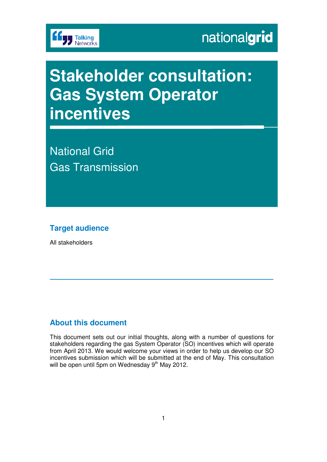

# **Stakeholder consultation: Gas System Operator incentives**

National Grid Gas Transmission

### **Target audience**

All stakeholders

### **About this document**

This document sets out our initial thoughts, along with a number of questions for stakeholders regarding the gas System Operator (SO) incentives which will operate from April 2013. We would welcome your views in order to help us develop our SO incentives submission which will be submitted at the end of May. This consultation will be open until 5pm on Wednesday  $9<sup>th</sup>$  May 2012.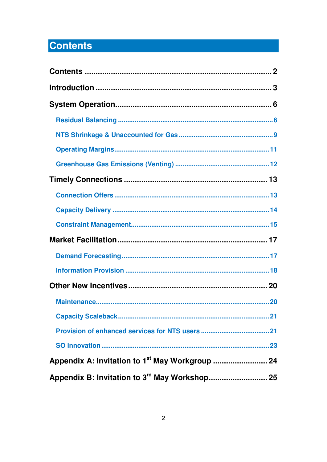## **Contents**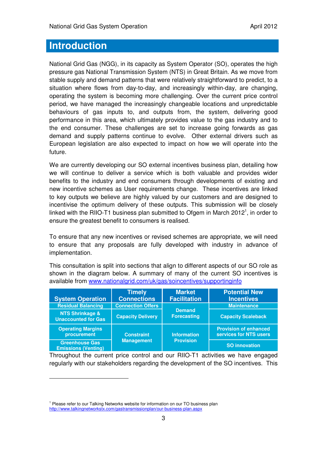### **Introduction**

National Grid Gas (NGG), in its capacity as System Operator (SO), operates the high pressure gas National Transmission System (NTS) in Great Britain. As we move from stable supply and demand patterns that were relatively straightforward to predict, to a situation where flows from day-to-day, and increasingly within-day, are changing, operating the system is becoming more challenging. Over the current price control period, we have managed the increasingly changeable locations and unpredictable behaviours of gas inputs to, and outputs from, the system, delivering good performance in this area, which ultimately provides value to the gas industry and to the end consumer. These challenges are set to increase going forwards as gas demand and supply patterns continue to evolve. Other external drivers such as European legislation are also expected to impact on how we will operate into the future.

We are currently developing our SO external incentives business plan, detailing how we will continue to deliver a service which is both valuable and provides wider benefits to the industry and end consumers through developments of existing and new incentive schemes as User requirements change. These incentives are linked to key outputs we believe are highly valued by our customers and are designed to incentivise the optimum delivery of these outputs. This submission will be closely linked with the RIIO-T1 business plan submitted to Ofgem in March 2012<sup>1</sup>, in order to ensure the greatest benefit to consumers is realised.

To ensure that any new incentives or revised schemes are appropriate, we will need to ensure that any proposals are fully developed with industry in advance of implementation.

This consultation is split into sections that align to different aspects of our SO role as shown in the diagram below. A summary of many of the current SO incentives is available from www.nationalgrid.com/uk/gas/soincentives/supportinginfo

| <b>System Operation</b>                                  | <b>Timely</b><br><b>Connections</b>    | <b>Market</b><br><b>Facilitation</b>   | <b>Potential New</b><br><b>Incentives</b>              |
|----------------------------------------------------------|----------------------------------------|----------------------------------------|--------------------------------------------------------|
| <b>Residual Balancing</b>                                | <b>Connection Offers</b>               | <b>Demand</b><br><b>Forecasting</b>    | <b>Maintenance</b>                                     |
| <b>NTS Shrinkage &amp;</b><br><b>Unaccounted for Gas</b> | <b>Capacity Delivery</b>               |                                        | <b>Capacity Scaleback</b>                              |
| <b>Operating Margins</b><br>procurement                  | <b>Constraint</b><br><b>Management</b> | <b>Information</b><br><b>Provision</b> | <b>Provision of enhanced</b><br>services for NTS users |
| <b>Greenhouse Gas</b><br><b>Emissions (Venting)</b>      |                                        |                                        | <b>SO innovation</b>                                   |

Throughout the current price control and our RIIO-T1 activities we have engaged regularly with our stakeholders regarding the development of the SO incentives. This

 $\overline{a}$ 

<sup>&</sup>lt;sup>1</sup> Please refer to our Talking Networks website for information on our TO business plan http://www.talkingnetworkstx.com/gastransmissionplan/our-business-plan.aspx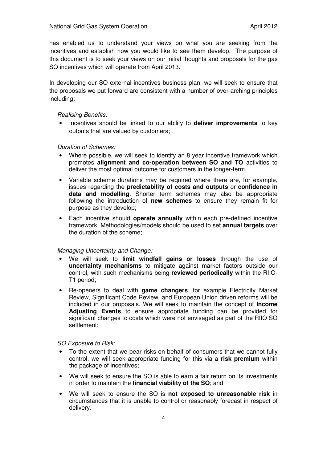has enabled us to understand your views on what you are seeking from the incentives and establish how you would like to see them develop. The purpose of this document is to seek your views on our initial thoughts and proposals for the gas SO incentives which will operate from April 2013.

In developing our SO external incentives business plan, we will seek to ensure that the proposals we put forward are consistent with a number of over-arching principles including:

Realising Benefits:

• Incentives should be linked to our ability to **deliver improvements** to key outputs that are valued by customers;

### Duration of Schemes:

- Where possible, we will seek to identify an 8 year incentive framework which promotes **alignment and co-operation between SO and TO** activities to deliver the most optimal outcome for customers in the longer-term.
- Variable scheme durations may be required where there are, for example, issues regarding the **predictability of costs and outputs** or **confidence in data and modelling**. Shorter term schemes may also be appropriate following the introduction of **new schemes** to ensure they remain fit for purpose as they develop;
- Each incentive should **operate annually** within each pre-defined incentive framework. Methodologies/models should be used to set **annual targets** over the duration of the scheme;

#### Managing Uncertainty and Change:

- We will seek to **limit windfall gains or losses** through the use of **uncertainty mechanisms** to mitigate against market factors outside our control, with such mechanisms being **reviewed periodically** within the RIIO-T1 period;
- Re-openers to deal with **game changers**, for example Electricity Market Review, Significant Code Review, and European Union driven reforms will be included in our proposals. We will seek to maintain the concept of **Income Adjusting Events** to ensure appropriate funding can be provided for significant changes to costs which were not envisaged as part of the RIIO SO settlement;

SO Exposure to Risk:

- To the extent that we bear risks on behalf of consumers that we cannot fully control, we will seek appropriate funding for this via a **risk premium** within the package of incentives;
- We will seek to ensure the SO is able to earn a fair return on its investments in order to maintain the **financial viability of the SO**; and
- We will seek to ensure the SO is **not exposed to unreasonable risk** in circumstances that it is unable to control or reasonably forecast in respect of delivery.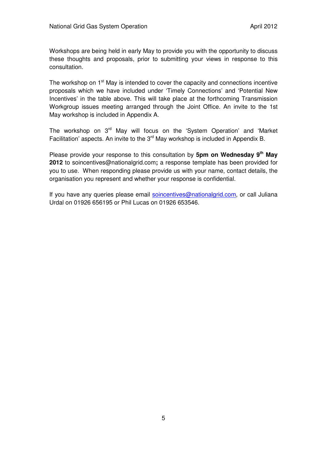Workshops are being held in early May to provide you with the opportunity to discuss these thoughts and proposals, prior to submitting your views in response to this consultation.

The workshop on 1<sup>st</sup> May is intended to cover the capacity and connections incentive proposals which we have included under 'Timely Connections' and 'Potential New Incentives' in the table above. This will take place at the forthcoming Transmission Workgroup issues meeting arranged through the Joint Office. An invite to the 1st May workshop is included in Appendix A.

The workshop on 3<sup>rd</sup> May will focus on the 'System Operation' and 'Market' Facilitation' aspects. An invite to the 3<sup>rd</sup> May workshop is included in Appendix B.

Please provide your response to this consultation by **5pm on Wednesday 9th May 2012** to soincentives@nationalgrid.com**;** a response template has been provided for you to use. When responding please provide us with your name, contact details, the organisation you represent and whether your response is confidential.

If you have any queries please email soincentives@nationalgrid.com, or call Juliana Urdal on 01926 656195 or Phil Lucas on 01926 653546.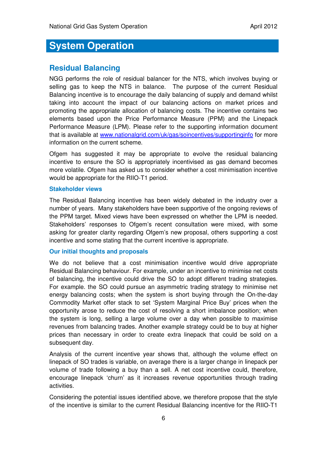### **System Operation**

### **Residual Balancing**

NGG performs the role of residual balancer for the NTS, which involves buying or selling gas to keep the NTS in balance. The purpose of the current Residual Balancing incentive is to encourage the daily balancing of supply and demand whilst taking into account the impact of our balancing actions on market prices and promoting the appropriate allocation of balancing costs. The incentive contains two elements based upon the Price Performance Measure (PPM) and the Linepack Performance Measure (LPM). Please refer to the supporting information document that is available at www.nationalgrid.com/uk/gas/soincentives/supportinginfo for more information on the current scheme.

Ofgem has suggested it may be appropriate to evolve the residual balancing incentive to ensure the SO is appropriately incentivised as gas demand becomes more volatile. Ofgem has asked us to consider whether a cost minimisation incentive would be appropriate for the RIIO-T1 period.

### **Stakeholder views**

The Residual Balancing incentive has been widely debated in the industry over a number of years. Many stakeholders have been supportive of the ongoing reviews of the PPM target. Mixed views have been expressed on whether the LPM is needed. Stakeholders' responses to Ofgem's recent consultation were mixed, with some asking for greater clarity regarding Ofgem's new proposal, others supporting a cost incentive and some stating that the current incentive is appropriate.

### **Our initial thoughts and proposals**

We do not believe that a cost minimisation incentive would drive appropriate Residual Balancing behaviour. For example, under an incentive to minimise net costs of balancing, the incentive could drive the SO to adopt different trading strategies. For example. the SO could pursue an asymmetric trading strategy to minimise net energy balancing costs; when the system is short buying through the On-the-day Commodity Market offer stack to set 'System Marginal Price Buy' prices when the opportunity arose to reduce the cost of resolving a short imbalance position; when the system is long, selling a large volume over a day when possible to maximise revenues from balancing trades. Another example strategy could be to buy at higher prices than necessary in order to create extra linepack that could be sold on a subsequent day.

Analysis of the current incentive year shows that, although the volume effect on linepack of SO trades is variable, on average there is a larger change in linepack per volume of trade following a buy than a sell. A net cost incentive could, therefore, encourage linepack 'churn' as it increases revenue opportunities through trading activities.

Considering the potential issues identified above, we therefore propose that the style of the incentive is similar to the current Residual Balancing incentive for the RIIO-T1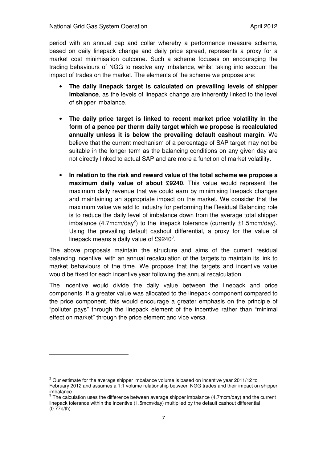$\overline{a}$ 

period with an annual cap and collar whereby a performance measure scheme, based on daily linepack change and daily price spread, represents a proxy for a market cost minimisation outcome. Such a scheme focuses on encouraging the trading behaviours of NGG to resolve any imbalance, whilst taking into account the impact of trades on the market. The elements of the scheme we propose are:

- **The daily linepack target is calculated on prevailing levels of shipper imbalance**, as the levels of linepack change are inherently linked to the level of shipper imbalance.
- **The daily price target is linked to recent market price volatility in the form of a pence per therm daily target which we propose is recalculated annually unless it is below the prevailing default cashout margin**. We believe that the current mechanism of a percentage of SAP target may not be suitable in the longer term as the balancing conditions on any given day are not directly linked to actual SAP and are more a function of market volatility.
- **In relation to the risk and reward value of the total scheme we propose a maximum daily value of about £9240**. This value would represent the maximum daily revenue that we could earn by minimising linepack changes and maintaining an appropriate impact on the market. We consider that the maximum value we add to industry for performing the Residual Balancing role is to reduce the daily level of imbalance down from the average total shipper imbalance (4.7mcm/day<sup>2</sup>) to the linepack tolerance (currently  $\pm 1.5$ mcm/day). Using the prevailing default cashout differential, a proxy for the value of linepack means a daily value of £9240<sup>3</sup>.

The above proposals maintain the structure and aims of the current residual balancing incentive, with an annual recalculation of the targets to maintain its link to market behaviours of the time. We propose that the targets and incentive value would be fixed for each incentive year following the annual recalculation.

The incentive would divide the daily value between the linepack and price components. If a greater value was allocated to the linepack component compared to the price component, this would encourage a greater emphasis on the principle of "polluter pays" through the linepack element of the incentive rather than "minimal effect on market" through the price element and vice versa.

 $2$  Our estimate for the average shipper imbalance volume is based on incentive year 2011/12 to February 2012 and assumes a 1:1 volume relationship between NGG trades and their impact on shipper imbalance.

 $3$  The calculation uses the difference between average shipper imbalance (4.7mcm/day) and the current linepack tolerance within the incentive (1.5mcm/day) multiplied by the default cashout differential (0.77p/th).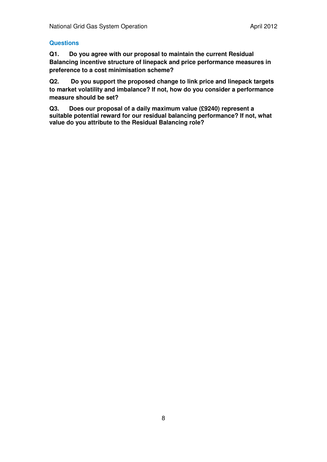### **Questions**

**Q1. Do you agree with our proposal to maintain the current Residual Balancing incentive structure of linepack and price performance measures in preference to a cost minimisation scheme?** 

**Q2. Do you support the proposed change to link price and linepack targets to market volatility and imbalance? If not, how do you consider a performance measure should be set?** 

**Q3. Does our proposal of a daily maximum value (£9240) represent a suitable potential reward for our residual balancing performance? If not, what value do you attribute to the Residual Balancing role?**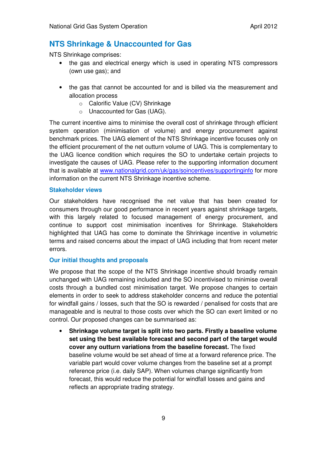### **NTS Shrinkage & Unaccounted for Gas**

NTS Shrinkage comprises:

- the gas and electrical energy which is used in operating NTS compressors (own use gas); and
- the gas that cannot be accounted for and is billed via the measurement and allocation process
	- o Calorific Value (CV) Shrinkage
	- o Unaccounted for Gas (UAG).

The current incentive aims to minimise the overall cost of shrinkage through efficient system operation (minimisation of volume) and energy procurement against benchmark prices. The UAG element of the NTS Shrinkage incentive focuses only on the efficient procurement of the net outturn volume of UAG. This is complementary to the UAG licence condition which requires the SO to undertake certain projects to investigate the causes of UAG. Please refer to the supporting information document that is available at www.nationalgrid.com/uk/gas/soincentives/supportinginfo for more information on the current NTS Shrinkage incentive scheme.

### **Stakeholder views**

Our stakeholders have recognised the net value that has been created for consumers through our good performance in recent years against shrinkage targets, with this largely related to focused management of energy procurement, and continue to support cost minimisation incentives for Shrinkage. Stakeholders highlighted that UAG has come to dominate the Shrinkage incentive in volumetric terms and raised concerns about the impact of UAG including that from recent meter errors.

### **Our initial thoughts and proposals**

We propose that the scope of the NTS Shrinkage incentive should broadly remain unchanged with UAG remaining included and the SO incentivised to minimise overall costs through a bundled cost minimisation target. We propose changes to certain elements in order to seek to address stakeholder concerns and reduce the potential for windfall gains / losses, such that the SO is rewarded / penalised for costs that are manageable and is neutral to those costs over which the SO can exert limited or no control. Our proposed changes can be summarised as:

• **Shrinkage volume target is split into two parts. Firstly a baseline volume set using the best available forecast and second part of the target would cover any outturn variations from the baseline forecast.** The fixed baseline volume would be set ahead of time at a forward reference price. The variable part would cover volume changes from the baseline set at a prompt reference price (i.e. daily SAP). When volumes change significantly from forecast, this would reduce the potential for windfall losses and gains and reflects an appropriate trading strategy.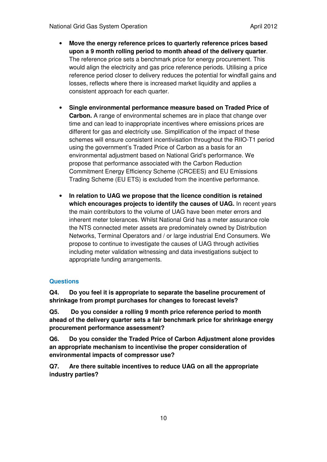- **Move the energy reference prices to quarterly reference prices based upon a 9 month rolling period to month ahead of the delivery quarter**. The reference price sets a benchmark price for energy procurement. This would align the electricity and gas price reference periods. Utilising a price reference period closer to delivery reduces the potential for windfall gains and losses, reflects where there is increased market liquidity and applies a consistent approach for each quarter.
- **Single environmental performance measure based on Traded Price of Carbon.** A range of environmental schemes are in place that change over time and can lead to inappropriate incentives where emissions prices are different for gas and electricity use. Simplification of the impact of these schemes will ensure consistent incentivisation throughout the RIIO-T1 period using the government's Traded Price of Carbon as a basis for an environmental adjustment based on National Grid's performance. We propose that performance associated with the Carbon Reduction Commitment Energy Efficiency Scheme (CRCEES) and EU Emissions Trading Scheme (EU ETS) is excluded from the incentive performance.
- **In relation to UAG we propose that the licence condition is retained which encourages projects to identify the causes of UAG.** In recent years the main contributors to the volume of UAG have been meter errors and inherent meter tolerances. Whilst National Grid has a meter assurance role the NTS connected meter assets are predominately owned by Distribution Networks, Terminal Operators and / or large industrial End Consumers. We propose to continue to investigate the causes of UAG through activities including meter validation witnessing and data investigations subject to appropriate funding arrangements.

### **Questions**

**Q4. Do you feel it is appropriate to separate the baseline procurement of shrinkage from prompt purchases for changes to forecast levels?** 

**Q5. Do you consider a rolling 9 month price reference period to month ahead of the delivery quarter sets a fair benchmark price for shrinkage energy procurement performance assessment?** 

**Q6. Do you consider the Traded Price of Carbon Adjustment alone provides an appropriate mechanism to incentivise the proper consideration of environmental impacts of compressor use?** 

**Q7. Are there suitable incentives to reduce UAG on all the appropriate industry parties?**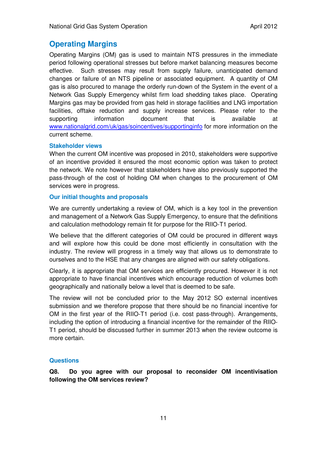### **Operating Margins**

Operating Margins (OM) gas is used to maintain NTS pressures in the immediate period following operational stresses but before market balancing measures become effective. Such stresses may result from supply failure, unanticipated demand changes or failure of an NTS pipeline or associated equipment. A quantity of OM gas is also procured to manage the orderly run-down of the System in the event of a Network Gas Supply Emergency whilst firm load shedding takes place. Operating Margins gas may be provided from gas held in storage facilities and LNG importation facilities, offtake reduction and supply increase services. Please refer to the supporting information document that is available at www.nationalgrid.com/uk/gas/soincentives/supportinginfo for more information on the current scheme.

### **Stakeholder views**

When the current OM incentive was proposed in 2010, stakeholders were supportive of an incentive provided it ensured the most economic option was taken to protect the network. We note however that stakeholders have also previously supported the pass-through of the cost of holding OM when changes to the procurement of OM services were in progress.

### **Our initial thoughts and proposals**

We are currently undertaking a review of OM, which is a key tool in the prevention and management of a Network Gas Supply Emergency, to ensure that the definitions and calculation methodology remain fit for purpose for the RIIO-T1 period.

We believe that the different categories of OM could be procured in different ways and will explore how this could be done most efficiently in consultation with the industry. The review will progress in a timely way that allows us to demonstrate to ourselves and to the HSE that any changes are aligned with our safety obligations.

Clearly, it is appropriate that OM services are efficiently procured. However it is not appropriate to have financial incentives which encourage reduction of volumes both geographically and nationally below a level that is deemed to be safe.

The review will not be concluded prior to the May 2012 SO external incentives submission and we therefore propose that there should be no financial incentive for OM in the first year of the RIIO-T1 period (i.e. cost pass-through). Arrangements, including the option of introducing a financial incentive for the remainder of the RIIO-T1 period, should be discussed further in summer 2013 when the review outcome is more certain.

### **Questions**

**Q8. Do you agree with our proposal to reconsider OM incentivisation following the OM services review?**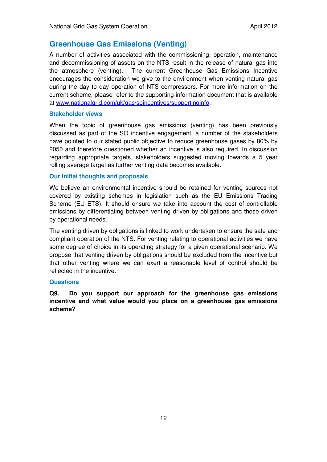### **Greenhouse Gas Emissions (Venting)**

A number of activities associated with the commissioning, operation, maintenance and decommissioning of assets on the NTS result in the release of natural gas into the atmosphere (venting). The current Greenhouse Gas Emissions Incentive encourages the consideration we give to the environment when venting natural gas during the day to day operation of NTS compressors. For more information on the current scheme, please refer to the supporting information document that is available at www.nationalgrid.com/uk/gas/soincentives/supportinginfo.

### **Stakeholder views**

When the topic of greenhouse gas emissions (venting) has been previously discussed as part of the SO incentive engagement, a number of the stakeholders have pointed to our stated public objective to reduce greenhouse gases by 80% by 2050 and therefore questioned whether an incentive is also required. In discussion regarding appropriate targets, stakeholders suggested moving towards a 5 year rolling average target as further venting data becomes available.

### **Our initial thoughts and proposals**

We believe an environmental incentive should be retained for venting sources not covered by existing schemes in legislation such as the EU Emissions Trading Scheme (EU ETS). It should ensure we take into account the cost of controllable emissions by differentiating between venting driven by obligations and those driven by operational needs.

The venting driven by obligations is linked to work undertaken to ensure the safe and compliant operation of the NTS. For venting relating to operational activities we have some degree of choice in its operating strategy for a given operational scenario. We propose that venting driven by obligations should be excluded from the incentive but that other venting where we can exert a reasonable level of control should be reflected in the incentive.

### **Questions**

**Q9. Do you support our approach for the greenhouse gas emissions incentive and what value would you place on a greenhouse gas emissions scheme?**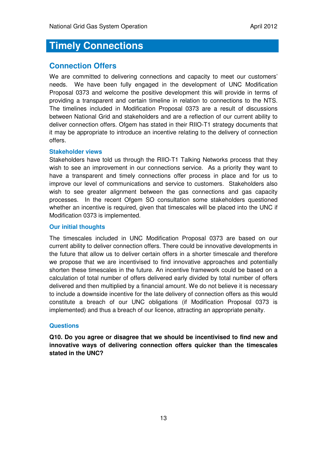### **Timely Connections**

### **Connection Offers**

We are committed to delivering connections and capacity to meet our customers' needs. We have been fully engaged in the development of UNC Modification Proposal 0373 and welcome the positive development this will provide in terms of providing a transparent and certain timeline in relation to connections to the NTS. The timelines included in Modification Proposal 0373 are a result of discussions between National Grid and stakeholders and are a reflection of our current ability to deliver connection offers. Ofgem has stated in their RIIO-T1 strategy documents that it may be appropriate to introduce an incentive relating to the delivery of connection offers.

### **Stakeholder views**

Stakeholders have told us through the RIIO-T1 Talking Networks process that they wish to see an improvement in our connections service. As a priority they want to have a transparent and timely connections offer process in place and for us to improve our level of communications and service to customers. Stakeholders also wish to see greater alignment between the gas connections and gas capacity processes. In the recent Ofgem SO consultation some stakeholders questioned whether an incentive is required, given that timescales will be placed into the UNC if Modification 0373 is implemented.

### **Our initial thoughts**

The timescales included in UNC Modification Proposal 0373 are based on our current ability to deliver connection offers. There could be innovative developments in the future that allow us to deliver certain offers in a shorter timescale and therefore we propose that we are incentivised to find innovative approaches and potentially shorten these timescales in the future. An incentive framework could be based on a calculation of total number of offers delivered early divided by total number of offers delivered and then multiplied by a financial amount. We do not believe it is necessary to include a downside incentive for the late delivery of connection offers as this would constitute a breach of our UNC obligations (if Modification Proposal 0373 is implemented) and thus a breach of our licence, attracting an appropriate penalty.

### **Questions**

**Q10. Do you agree or disagree that we should be incentivised to find new and innovative ways of delivering connection offers quicker than the timescales stated in the UNC?**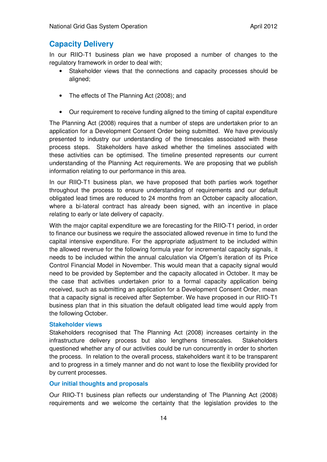### **Capacity Delivery**

In our RIIO-T1 business plan we have proposed a number of changes to the regulatory framework in order to deal with;

- Stakeholder views that the connections and capacity processes should be aligned;
- The effects of The Planning Act (2008): and
- Our requirement to receive funding aligned to the timing of capital expenditure

The Planning Act (2008) requires that a number of steps are undertaken prior to an application for a Development Consent Order being submitted. We have previously presented to industry our understanding of the timescales associated with these process steps. Stakeholders have asked whether the timelines associated with these activities can be optimised. The timeline presented represents our current understanding of the Planning Act requirements. We are proposing that we publish information relating to our performance in this area.

In our RIIO-T1 business plan, we have proposed that both parties work together throughout the process to ensure understanding of requirements and our default obligated lead times are reduced to 24 months from an October capacity allocation, where a bi-lateral contract has already been signed, with an incentive in place relating to early or late delivery of capacity.

With the major capital expenditure we are forecasting for the RIIO-T1 period, in order to finance our business we require the associated allowed revenue in time to fund the capital intensive expenditure. For the appropriate adjustment to be included within the allowed revenue for the following formula year for incremental capacity signals, it needs to be included within the annual calculation via Ofgem's iteration of its Price Control Financial Model in November. This would mean that a capacity signal would need to be provided by September and the capacity allocated in October. It may be the case that activities undertaken prior to a formal capacity application being received, such as submitting an application for a Development Consent Order, mean that a capacity signal is received after September. We have proposed in our RIIO-T1 business plan that in this situation the default obligated lead time would apply from the following October.

#### **Stakeholder views**

Stakeholders recognised that The Planning Act (2008) increases certainty in the infrastructure delivery process but also lengthens timescales. Stakeholders questioned whether any of our activities could be run concurrently in order to shorten the process. In relation to the overall process, stakeholders want it to be transparent and to progress in a timely manner and do not want to lose the flexibility provided for by current processes.

### **Our initial thoughts and proposals**

Our RIIO-T1 business plan reflects our understanding of The Planning Act (2008) requirements and we welcome the certainty that the legislation provides to the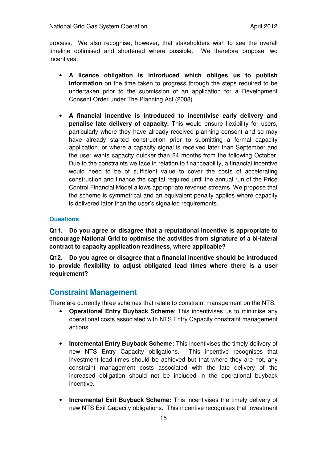process. We also recognise, however, that stakeholders wish to see the overall timeline optimised and shortened where possible. We therefore propose two incentives:

- **A licence obligation is introduced which obliges us to publish information** on the time taken to progress through the steps required to be undertaken prior to the submission of an application for a Development Consent Order under The Planning Act (2008).
- **A financial incentive is introduced to incentivise early delivery and penalise late delivery of capacity.** This would ensure flexibility for users, particularly where they have already received planning consent and so may have already started construction prior to submitting a formal capacity application, or where a capacity signal is received later than September and the user wants capacity quicker than 24 months from the following October. Due to the constraints we face in relation to financeability, a financial incentive would need to be of sufficient value to cover the costs of accelerating construction and finance the capital required until the annual run of the Price Control Financial Model allows appropriate revenue streams. We propose that the scheme is symmetrical and an equivalent penalty applies where capacity is delivered later than the user's signalled requirements.

### **Questions**

**Q11. Do you agree or disagree that a reputational incentive is appropriate to encourage National Grid to optimise the activities from signature of a bi-lateral contract to capacity application readiness, where applicable?** 

**Q12. Do you agree or disagree that a financial incentive should be introduced to provide flexibility to adjust obligated lead times where there is a user requirement?**

### **Constraint Management**

There are currently three schemes that relate to constraint management on the NTS.

- **Operational Entry Buyback Scheme**: This incentivises us to minimise any operational costs associated with NTS Entry Capacity constraint management actions.
- **Incremental Entry Buyback Scheme:** This incentivises the timely delivery of new NTS Entry Capacity obligations. This incentive recognises that investment lead times should be achieved but that where they are not, any constraint management costs associated with the late delivery of the increased obligation should not be included in the operational buyback incentive.
- **Incremental Exit Buyback Scheme:** This incentivises the timely delivery of new NTS Exit Capacity obligations. This incentive recognises that investment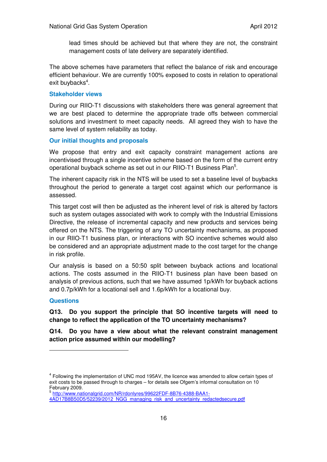lead times should be achieved but that where they are not, the constraint management costs of late delivery are separately identified.

The above schemes have parameters that reflect the balance of risk and encourage efficient behaviour. We are currently 100% exposed to costs in relation to operational exit buybacks<sup>4</sup>.

### **Stakeholder views**

During our RIIO-T1 discussions with stakeholders there was general agreement that we are best placed to determine the appropriate trade offs between commercial solutions and investment to meet capacity needs. All agreed they wish to have the same level of system reliability as today.

### **Our initial thoughts and proposals**

We propose that entry and exit capacity constraint management actions are incentivised through a single incentive scheme based on the form of the current entry operational buyback scheme as set out in our RIIO-T1 Business Plan<sup>5</sup>.

The inherent capacity risk in the NTS will be used to set a baseline level of buybacks throughout the period to generate a target cost against which our performance is assessed.

This target cost will then be adjusted as the inherent level of risk is altered by factors such as system outages associated with work to comply with the Industrial Emissions Directive, the release of incremental capacity and new products and services being offered on the NTS. The triggering of any TO uncertainty mechanisms, as proposed in our RIIO-T1 business plan, or interactions with SO incentive schemes would also be considered and an appropriate adjustment made to the cost target for the change in risk profile.

Our analysis is based on a 50:50 split between buyback actions and locational actions. The costs assumed in the RIIO-T1 business plan have been based on analysis of previous actions, such that we have assumed 1p/kWh for buyback actions and 0.7p/kWh for a locational sell and 1.6p/kWh for a locational buy.

### **Questions**

 $\overline{a}$ 

**Q13. Do you support the principle that SO incentive targets will need to change to reflect the application of the TO uncertainty mechanisms?**

**Q14. Do you have a view about what the relevant constraint management action price assumed within our modelling?**

<sup>&</sup>lt;sup>4</sup> Following the implementation of UNC mod 195AV, the licence was amended to allow certain types of exit costs to be passed through to charges – for details see Ofgem's informal consultation on 10

February 2009.<br><sup>5</sup> <u>http://www.nationalgrid.com/NR/rdonlyres/99622FDF-8B76-4388-BAA1-</u>

<sup>4</sup>AD17B8B50D5/52239/2012\_NGG\_managing\_risk\_and\_uncertainty\_redactedsecure.pdf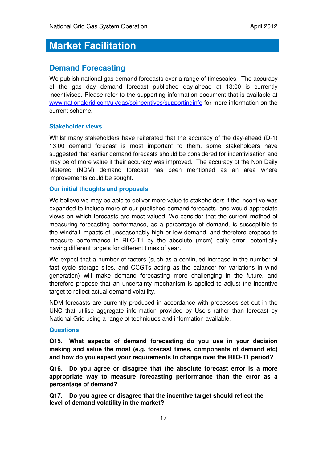### **Market Facilitation**

### **Demand Forecasting**

We publish national gas demand forecasts over a range of timescales. The accuracy of the gas day demand forecast published day-ahead at 13:00 is currently incentivised. Please refer to the supporting information document that is available at www.nationalgrid.com/uk/gas/soincentives/supportinginfo for more information on the current scheme.

### **Stakeholder views**

Whilst many stakeholders have reiterated that the accuracy of the day-ahead (D-1) 13:00 demand forecast is most important to them, some stakeholders have suggested that earlier demand forecasts should be considered for incentivisation and may be of more value if their accuracy was improved. The accuracy of the Non Daily Metered (NDM) demand forecast has been mentioned as an area where improvements could be sought.

### **Our initial thoughts and proposals**

We believe we may be able to deliver more value to stakeholders if the incentive was expanded to include more of our published demand forecasts, and would appreciate views on which forecasts are most valued. We consider that the current method of measuring forecasting performance, as a percentage of demand, is susceptible to the windfall impacts of unseasonably high or low demand, and therefore propose to measure performance in RIIO-T1 by the absolute (mcm) daily error, potentially having different targets for different times of year.

We expect that a number of factors (such as a continued increase in the number of fast cycle storage sites, and CCGTs acting as the balancer for variations in wind generation) will make demand forecasting more challenging in the future, and therefore propose that an uncertainty mechanism is applied to adjust the incentive target to reflect actual demand volatility.

NDM forecasts are currently produced in accordance with processes set out in the UNC that utilise aggregate information provided by Users rather than forecast by National Grid using a range of techniques and information available.

### **Questions**

**Q15. What aspects of demand forecasting do you use in your decision making and value the most (e.g. forecast times, components of demand etc) and how do you expect your requirements to change over the RIIO-T1 period?** 

**Q16. Do you agree or disagree that the absolute forecast error is a more appropriate way to measure forecasting performance than the error as a percentage of demand?** 

**Q17. Do you agree or disagree that the incentive target should reflect the level of demand volatility in the market?**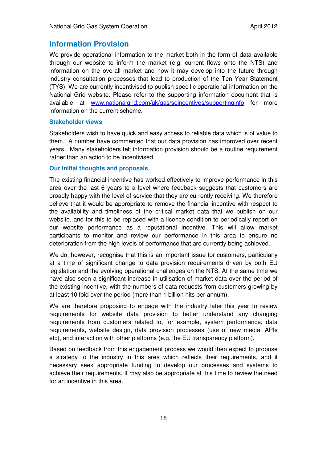### **Information Provision**

We provide operational information to the market both in the form of data available through our website to inform the market (e.g. current flows onto the NTS) and information on the overall market and how it may develop into the future through industry consultation processes that lead to production of the Ten Year Statement (TYS). We are currently incentivised to publish specific operational information on the National Grid website. Please refer to the supporting information document that is available at www.nationalgrid.com/uk/gas/soincentives/supportinginfo for more information on the current scheme.

#### **Stakeholder views**

Stakeholders wish to have quick and easy access to reliable data which is of value to them. A number have commented that our data provision has improved over recent years. Many stakeholders felt information provision should be a routine requirement rather than an action to be incentivised.

### **Our initial thoughts and proposals**

The existing financial incentive has worked effectively to improve performance in this area over the last 6 years to a level where feedback suggests that customers are broadly happy with the level of service that they are currently receiving. We therefore believe that it would be appropriate to remove the financial incentive with respect to the availability and timeliness of the critical market data that we publish on our website, and for this to be replaced with a licence condition to periodically report on our website performance as a reputational incentive. This will allow market participants to monitor and review our performance in this area to ensure no deterioration from the high levels of performance that are currently being achieved.

We do, however, recognise that this is an important issue for customers, particularly at a time of significant change to data provision requirements driven by both EU legislation and the evolving operational challenges on the NTS. At the same time we have also seen a significant increase in utilisation of market data over the period of the existing incentive, with the numbers of data requests from customers growing by at least 10 fold over the period (more than 1 billion hits per annum).

We are therefore proposing to engage with the industry later this year to review requirements for website data provision to better understand any changing requirements from customers related to, for example, system performance, data requirements, website design, data provision processes (use of new media, APIs etc), and interaction with other platforms (e.g. the EU transparency platform).

Based on feedback from this engagement process we would then expect to propose a strategy to the industry in this area which reflects their requirements, and if necessary seek appropriate funding to develop our processes and systems to achieve their requirements. It may also be appropriate at this time to review the need for an incentive in this area.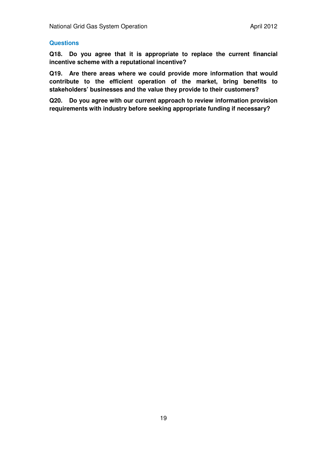### **Questions**

**Q18. Do you agree that it is appropriate to replace the current financial incentive scheme with a reputational incentive?** 

**Q19. Are there areas where we could provide more information that would contribute to the efficient operation of the market, bring benefits to stakeholders' businesses and the value they provide to their customers?** 

**Q20. Do you agree with our current approach to review information provision requirements with industry before seeking appropriate funding if necessary?**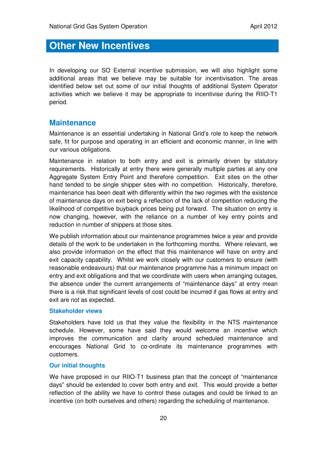### **Other New Incentives**

In developing our SO External incentive submission, we will also highlight some additional areas that we believe may be suitable for incentivisation. The areas identified below set out some of our initial thoughts of additional System Operator activities which we believe it may be appropriate to incentivise during the RIIO-T1 period.

### **Maintenance**

Maintenance is an essential undertaking in National Grid's role to keep the network safe, fit for purpose and operating in an efficient and economic manner, in line with our various obligations.

Maintenance in relation to both entry and exit is primarily driven by statutory requirements. Historically at entry there were generally multiple parties at any one Aggregate System Entry Point and therefore competition. Exit sites on the other hand tended to be single shipper sites with no competition. Historically, therefore, maintenance has been dealt with differently within the two regimes with the existence of maintenance days on exit being a reflection of the lack of competition reducing the likelihood of competitive buyback prices being put forward. The situation on entry is now changing, however, with the reliance on a number of key entry points and reduction in number of shippers at those sites.

We publish information about our maintenance programmes twice a year and provide details of the work to be undertaken in the forthcoming months. Where relevant, we also provide information on the effect that this maintenance will have on entry and exit capacity capability. Whilst we work closely with our customers to ensure (with reasonable endeavours) that our maintenance programme has a minimum impact on entry and exit obligations and that we coordinate with users when arranging outages, the absence under the current arrangements of "maintenance days" at entry mean there is a risk that significant levels of cost could be incurred if gas flows at entry and exit are not as expected.

### **Stakeholder views**

Stakeholders have told us that they value the flexibility in the NTS maintenance schedule. However, some have said they would welcome an incentive which improves the communication and clarity around scheduled maintenance and encourages National Grid to co-ordinate its maintenance programmes with customers.

### **Our initial thoughts**

We have proposed in our RIIO-T1 business plan that the concept of "maintenance" days" should be extended to cover both entry and exit. This would provide a better reflection of the ability we have to control these outages and could be linked to an incentive (on both ourselves and others) regarding the scheduling of maintenance.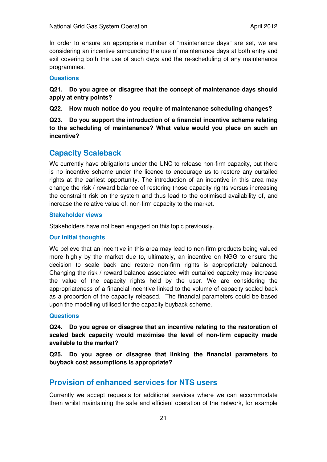In order to ensure an appropriate number of "maintenance days" are set, we are considering an incentive surrounding the use of maintenance days at both entry and exit covering both the use of such days and the re-scheduling of any maintenance programmes.

### **Questions**

### **Q21. Do you agree or disagree that the concept of maintenance days should apply at entry points?**

**Q22. How much notice do you require of maintenance scheduling changes?** 

**Q23. Do you support the introduction of a financial incentive scheme relating to the scheduling of maintenance? What value would you place on such an incentive?** 

### **Capacity Scaleback**

We currently have obligations under the UNC to release non-firm capacity, but there is no incentive scheme under the licence to encourage us to restore any curtailed rights at the earliest opportunity. The introduction of an incentive in this area may change the risk / reward balance of restoring those capacity rights versus increasing the constraint risk on the system and thus lead to the optimised availability of, and increase the relative value of, non-firm capacity to the market.

### **Stakeholder views**

Stakeholders have not been engaged on this topic previously.

### **Our initial thoughts**

We believe that an incentive in this area may lead to non-firm products being valued more highly by the market due to, ultimately, an incentive on NGG to ensure the decision to scale back and restore non-firm rights is appropriately balanced. Changing the risk / reward balance associated with curtailed capacity may increase the value of the capacity rights held by the user. We are considering the appropriateness of a financial incentive linked to the volume of capacity scaled back as a proportion of the capacity released. The financial parameters could be based upon the modelling utilised for the capacity buyback scheme.

### **Questions**

**Q24. Do you agree or disagree that an incentive relating to the restoration of scaled back capacity would maximise the level of non-firm capacity made available to the market?** 

**Q25. Do you agree or disagree that linking the financial parameters to buyback cost assumptions is appropriate?** 

### **Provision of enhanced services for NTS users**

Currently we accept requests for additional services where we can accommodate them whilst maintaining the safe and efficient operation of the network, for example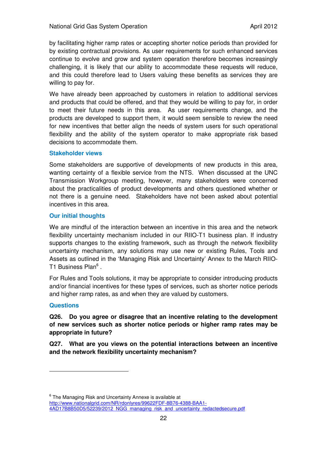by facilitating higher ramp rates or accepting shorter notice periods than provided for by existing contractual provisions. As user requirements for such enhanced services continue to evolve and grow and system operation therefore becomes increasingly challenging, it is likely that our ability to accommodate these requests will reduce, and this could therefore lead to Users valuing these benefits as services they are willing to pay for.

We have already been approached by customers in relation to additional services and products that could be offered, and that they would be willing to pay for, in order to meet their future needs in this area. As user requirements change, and the products are developed to support them, it would seem sensible to review the need for new incentives that better align the needs of system users for such operational flexibility and the ability of the system operator to make appropriate risk based decisions to accommodate them.

### **Stakeholder views**

Some stakeholders are supportive of developments of new products in this area, wanting certainty of a flexible service from the NTS. When discussed at the UNC Transmission Workgroup meeting, however, many stakeholders were concerned about the practicalities of product developments and others questioned whether or not there is a genuine need. Stakeholders have not been asked about potential incentives in this area.

#### **Our initial thoughts**

We are mindful of the interaction between an incentive in this area and the network flexibility uncertainty mechanism included in our RIIO-T1 business plan. If industry supports changes to the existing framework, such as through the network flexibility uncertainty mechanism, any solutions may use new or existing Rules, Tools and Assets as outlined in the 'Managing Risk and Uncertainty' Annex to the March RIIO-T1 Business Plan<sup>6</sup>.

For Rules and Tools solutions, it may be appropriate to consider introducing products and/or financial incentives for these types of services, such as shorter notice periods and higher ramp rates, as and when they are valued by customers.

### **Questions**

 $\overline{a}$ 

### **Q26. Do you agree or disagree that an incentive relating to the development of new services such as shorter notice periods or higher ramp rates may be appropriate in future?**

**Q27. What are you views on the potential interactions between an incentive and the network flexibility uncertainty mechanism?** 

<sup>6</sup> The Managing Risk and Uncertainty Annexe is available at http://www.nationalgrid.com/NR/rdonlyres/99622FDF-8B76-4388-BAA1- 4AD17B8B50D5/52239/2012 NGG\_managing\_risk\_and\_uncertainty\_redactedsecure.pdf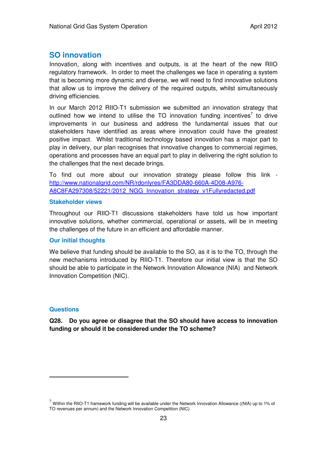### **SO innovation**

Innovation, along with incentives and outputs, is at the heart of the new RIIO regulatory framework. In order to meet the challenges we face in operating a system that is becoming more dynamic and diverse, we will need to find innovative solutions that allow us to improve the delivery of the required outputs, whilst simultaneously driving efficiencies.

In our March 2012 RIIO-T1 submission we submitted an innovation strategy that outlined how we intend to utilise the TO innovation funding incentives<sup>7</sup> to drive improvements in our business and address the fundamental issues that our stakeholders have identified as areas where innovation could have the greatest positive impact. Whilst traditional technology based innovation has a major part to play in delivery, our plan recognises that innovative changes to commercial regimes, operations and processes have an equal part to play in delivering the right solution to the challenges that the next decade brings.

To find out more about our innovation strategy please follow this link http://www.nationalgrid.com/NR/rdonlyres/FA3DDA80-660A-4D08-A976- A8C8FA297308/52221/2012\_NGG\_Innovation\_strategy\_v1Fullyredacted.pdf

#### **Stakeholder views**

Throughout our RIIO-T1 discussions stakeholders have told us how important innovative solutions, whether commercial, operational or assets, will be in meeting the challenges of the future in an efficient and affordable manner.

### **Our initial thoughts**

We believe that funding should be available to the SO, as it is to the TO, through the new mechanisms introduced by RIIO-T1. Therefore our initial view is that the SO should be able to participate in the Network Innovation Allowance (NIA) and Network Innovation Competition (NIC).

### **Questions**

 $\overline{a}$ 

**Q28. Do you agree or disagree that the SO should have access to innovation funding or should it be considered under the TO scheme?** 

 $^7$  Within the RIIO-T1 framework funding will be available under the Network Innovation Allowance ((NIA) up to 1% of TO revenues per annum) and the Network Innovation Competition (NIC).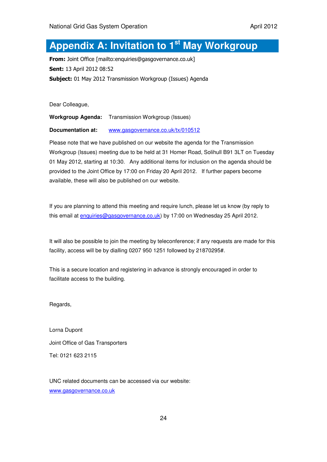### **Appendix A: Invitation to 1st May Workgroup**

From: Joint Office [mailto:enquiries@gasgovernance.co.uk] Sent: 13 April 2012 08:52 Subject: 01 May 2012 Transmission Workgroup (Issues) Agenda

Dear Colleague,

**Workgroup Agenda:** Transmission Workgroup (Issues)

**Documentation at:** www.gasgovernance.co.uk/tx/010512

Please note that we have published on our website the agenda for the Transmission Workgroup (Issues) meeting due to be held at 31 Homer Road, Solihull B91 3LT on Tuesday 01 May 2012, starting at 10:30. Any additional items for inclusion on the agenda should be provided to the Joint Office by 17:00 on Friday 20 April 2012. If further papers become available, these will also be published on our website.

If you are planning to attend this meeting and require lunch, please let us know (by reply to this email at enquiries@gasgovernance.co.uk) by 17:00 on Wednesday 25 April 2012.

It will also be possible to join the meeting by teleconference; if any requests are made for this facility, access will be by dialling 0207 950 1251 followed by 21870295#.

This is a secure location and registering in advance is strongly encouraged in order to facilitate access to the building.

Regards,

Lorna Dupont Joint Office of Gas Transporters Tel: 0121 623 2115

UNC related documents can be accessed via our website: www.gasgovernance.co.uk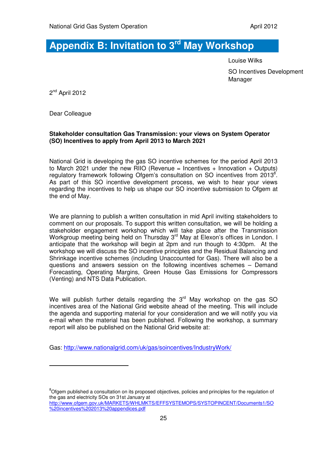## **Appendix B: Invitation to 3rd May Workshop**

Louise Wilks SO Incentives Development Manager

2<sup>nd</sup> April 2012

Dear Colleague

 $\overline{a}$ 

### **Stakeholder consultation Gas Transmission: your views on System Operator (SO) Incentives to apply from April 2013 to March 2021**

National Grid is developing the gas SO incentive schemes for the period April 2013 to March 2021 under the new RIIO (Revenue = Incentives + Innovation + Outputs) regulatory framework following Ofgem's consultation on SO incentives from 2013<sup>8</sup>. As part of this SO incentive development process, we wish to hear your views regarding the incentives to help us shape our SO incentive submission to Ofgem at the end of May.

We are planning to publish a written consultation in mid April inviting stakeholders to comment on our proposals. To support this written consultation, we will be holding a stakeholder engagement workshop which will take place after the Transmission Workgroup meeting being held on Thursday 3<sup>rd</sup> May at Elexon's offices in London. I anticipate that the workshop will begin at 2pm and run though to 4:30pm. At the workshop we will discuss the SO incentive principles and the Residual Balancing and Shrinkage incentive schemes (including Unaccounted for Gas). There will also be a questions and answers session on the following incentives schemes – Demand Forecasting, Operating Margins, Green House Gas Emissions for Compressors (Venting) and NTS Data Publication.

We will publish further details regarding the  $3<sup>rd</sup>$  May workshop on the gas SO incentives area of the National Grid website ahead of the meeting. This will include the agenda and supporting material for your consideration and we will notify you via e-mail when the material has been published. Following the workshop, a summary report will also be published on the National Grid website at:

Gas: http://www.nationalgrid.com/uk/gas/soincentives/IndustryWork/

 $8$ Ofgem published a consultation on its proposed objectives, policies and principles for the regulation of the gas and electricity SOs on 31st January at http://www.ofgem.gov.uk/MARKETS/WHLMKTS/EFFSYSTEMOPS/SYSTOPINCENT/Documents1/SO %20incentives%202013%20appendices.pdf